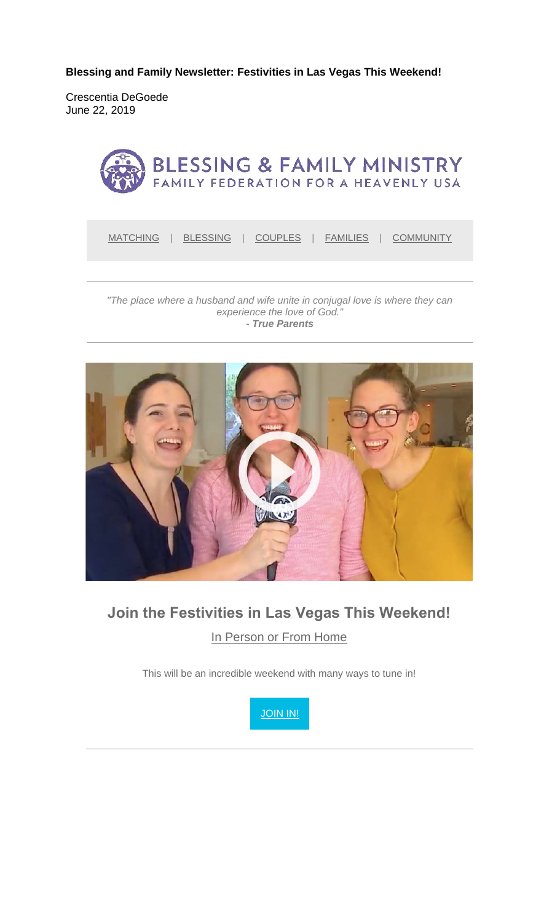**Blessing and Family Newsletter: Festivities in Las Vegas This Weekend!** 

Crescentia DeGoede June 22, 2019



*"The place where a husband and wife unite in conjugal love is where they can experience the love of God." - True Parents*



# **Join the Festivities in Las Vegas This Weekend!** In Person or From Home

This will be an incredible weekend with many ways to tune in!

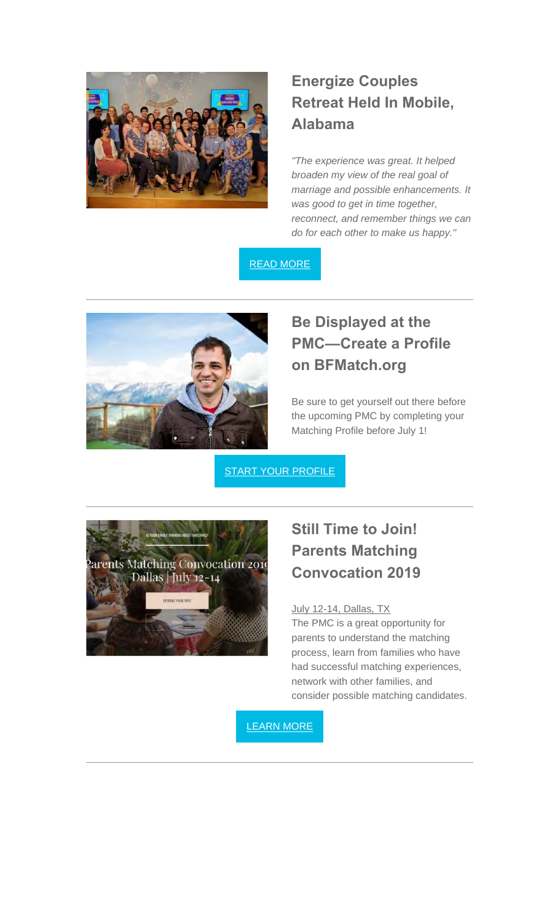

## **Energize Couples Retreat Held In Mobile, Alabama**

*"The experience was great. It helped broaden my view of the real goal of marriage and possible enhancements. It was good to get in time together, reconnect, and remember things we can do for each other to make us happy."*

READ MORE



## **Be Displayed at the PMC—Create a Profile on BFMatch.org**

Be sure to get yourself out there before the upcoming PMC by completing your Matching Profile before July 1!

**START YOUR PROFILE** 



## **Still Time to Join! Parents Matching Convocation 2019**

#### July 12-14, Dallas, TX

The PMC is a great opportunity for parents to understand the matching process, learn from families who have had successful matching experiences, network with other families, and consider possible matching candidates.

LEARN MORE